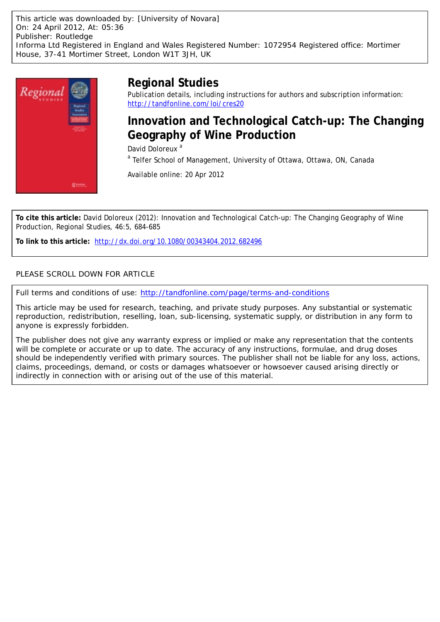

## **Regional Studies**

Publication details, including instructions for authors and subscription information: <http://tandfonline.com/loi/cres20>

**Innovation and Technological Catch-up: The Changing Geography of Wine Production**

David Doloreux<sup>a</sup>

<sup>a</sup> Telfer School of Management, University of Ottawa, Ottawa, ON, Canada

Available online: 20 Apr 2012

**To cite this article:** David Doloreux (2012): Innovation and Technological Catch-up: The Changing Geography of Wine Production, Regional Studies, 46:5, 684-685

**To link to this article:** <http://dx.doi.org/10.1080/00343404.2012.682496>

## PLEASE SCROLL DOWN FOR ARTICLE

Full terms and conditions of use:<http://tandfonline.com/page/terms-and-conditions>

This article may be used for research, teaching, and private study purposes. Any substantial or systematic reproduction, redistribution, reselling, loan, sub-licensing, systematic supply, or distribution in any form to anyone is expressly forbidden.

The publisher does not give any warranty express or implied or make any representation that the contents will be complete or accurate or up to date. The accuracy of any instructions, formulae, and drug doses should be independently verified with primary sources. The publisher shall not be liable for any loss, actions, claims, proceedings, demand, or costs or damages whatsoever or howsoever caused arising directly or indirectly in connection with or arising out of the use of this material.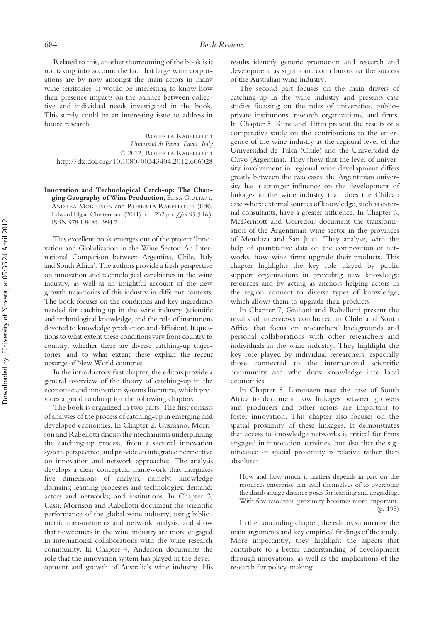Related to this, another shortcoming of the book is it not taking into account the fact that large wine corporations are by now amongst the main actors in many wine territories. It would be interesting to know how their presence impacts on the balance between collective and individual needs investigated in the book. This surely could be an interesting issue to address in future research.

ROBERTA RABELLOTTI Università di Pavia, Pavia, Italy © 2012, ROBERTA RABELLOTTI http://dx.doi.org/10.1080/00343404.2012.666028

Innovation and Technological Catch-up: The Changing Geography of Wine Production, ELISA GIULIANI, ANDREA MORRISON and ROBERTA RABELLOTTI (Eds), Edward Elgar, Cheltenham (2011).  $x + 232$  pp.  $\mathcal{L}$  (9.95 (hbk). ISBN 978 1 84844 994 7.

This excellent book emerges out of the project 'Innovation and Globalization in the Wine Sector: An International Comparison between Argentina, Chile, Italy and South Africa'. The authors provide a fresh perspective on innovation and technological capabilities in the wine industry, as well as an insightful account of the new growth trajectories of this industry in different contexts. The book focuses on the conditions and key ingredients needed for catching-up in the wine industry (scientific and technological knowledge, and the role of institutions devoted to knowledge production and diffusion). It questions to what extent these conditions vary from country to country, whether there are diverse catching-up trajectories, and to what extent these explain the recent upsurge of New World countries.

In the introductory first chapter, the editors provide a general overview of the theory of catching-up in the economic and innovation systems literature, which provides a good roadmap for the following chapters.

The book is organized in two parts. The first consists of analyses of the process of catching-up in emerging and developed economies. In Chapter 2, Cusmano, Morrison and Rabellotti discuss the mechanisms underpinning the catching-up process, from a sectoral innovation system perspective, and provide an integrated perspective on innovation and network approaches. The analysis develops a clear conceptual framework that integrates five dimensions of analysis, namely: knowledge domains; learning processes and technologies; demand; actors and networks; and institutions. In Chapter 3, Cassi, Morrison and Rabellotti document the scientific performance of the global wine industry, using bibliometric measurements and network analysis, and show that newcomers in the wine industry are more engaged in international collaborations with the wine research community. In Chapter 4, Anderson documents the role that the innovation system has played in the development and growth of Australia's wine industry. His results identify generic promotion and research and development as significant contributors to the success of the Australian wine industry.

The second part focuses on the main drivers of catching-up in the wine industry and presents case studies focusing on the roles of universities, public– private institutions, research organizations, and firms. In Chapter 5, Kunc and Tiffin present the results of a comparative study on the contributions to the emergence of the wine industry at the regional level of the Universidad de Talca (Chile) and the Universidad de Cuyo (Argentina). They show that the level of university involvement in regional wine development differs greatly between the two cases: the Argentinian university has a stronger influence on the development of linkages in the wine industry than does the Chilean case where external sources of knowledge, such as external consultants, have a greater influence. In Chapter 6, McDermott and Corredoir document the transformation of the Argentinian wine sector in the provinces of Mendoza and San Juan. They analyse, with the help of quantitative data on the composition of networks, how wine firms upgrade their products. This chapter highlights the key role played by public support organizations in providing new knowledge resources and by acting as anchors helping actors in the region connect to diverse types of knowledge, which allows them to upgrade their products.

In Chapter 7, Giuliani and Rabellotti present the results of interviews conducted in Chile and South Africa that focus on researchers' backgrounds and personal collaborations with other researchers and individuals in the wine industry. They highlight the key role played by individual researchers, especially those connected to the international scientific community and who draw knowledge into local economies.

In Chapter 8, Lorentzen uses the case of South Africa to document how linkages between growers and producers and other actors are important to foster innovation. This chapter also focuses on the spatial proximity of these linkages. It demonstrates that access to knowledge networks is critical for firms engaged in innovation activities, but also that the significance of spatial proximity is relative rather than absolute:

How and how much it matters depends in part on the resources enterprise can avail themselves of to overcome the disadvantage distance poses for learning and upgrading. With few resources, proximity becomes more important. (p. 195)

In the concluding chapter, the editors summarize the main arguments and key empirical findings of the study. More importantly, they highlight the aspects that contribute to a better understanding of development through innovations, as well as the implications of the research for policy-making.